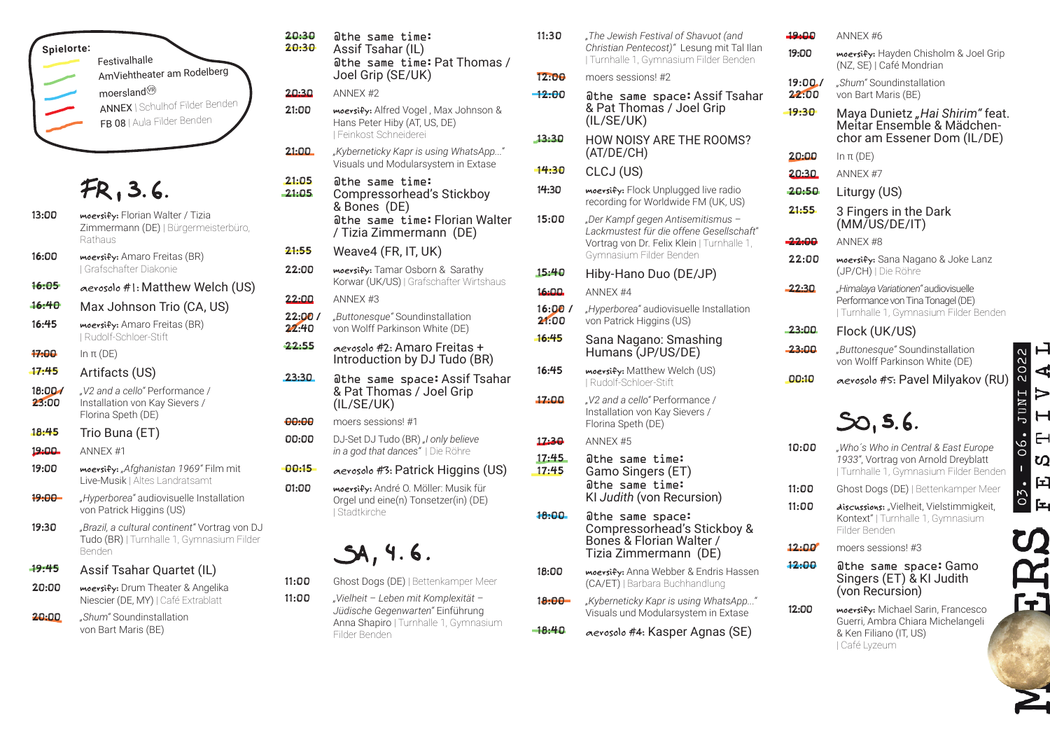

## FR, 3.6.

- 13:00 **moersify:** Florian Walter / Tizia Zimmermann (DE) | Bürgermeisterbüro, Rathaus
- 16:00 **moersify:** Amaro Freitas (BR) | Grafschafter Diakonie
- 16:05 aerosolo #1: Matthew Welch (US)
- 16:40 Max Johnson Trio (CA, US)
- 16:45 **moersify:** Amaro Freitas (BR) | Rudolf-Schloer-Stift
- 17:00 In π (DE)
- 17:45 Artifacts (US)
- 18:00 / 23:00 *"V2 and a cello"* Performance / Installation von Kay Sievers / Florina Speth (DE)
- 18:45 Trio Buna (ET)
- 19:00 ANNEX #1
- 19:00 **moersify:** *"Afghanistan 1969"* Film mit Live-Musik | Altes Landratsamt
- 19:00 *Hyperborea*" audiovisuelle Installation von Patrick Higgins (US)
- 19:30 *"Brazil, a cultural continent"* Vortrag von DJ Tudo (BR) | Turnhalle 1, Gymnasium Filder Benden

### 19:45 Assif Tsahar Quartet (IL)

- 20:00 **moersify:** Drum Theater & Angelika Niescier (DE, MY) | Café Extrablatt
- 20:00 *"Shum"* Soundinstallation von Bart Maris (BE)

#### 20:30 20:30 @the same time: Assif Tsahar (IL) @the same time:Pat Thomas / Joel Grip (SE/UK)

#### 20:30 ANNEX #2

- 21:00 **moersify:** Alfred Vogel , Max Johnson & Hans Peter Hiby (AT, US, DE) | Feinkost Schneiderei
- 21:00 *"Kyberneticky Kapr is using WhatsApp..."*  Visuals und Modularsystem in Extase
- 21:05 21:05 @the same time: Compressorhead's Stickboy & Bones (DE) @the same time:Florian Walter / Tizia Zimmermann (DE)
- 21:55 Weave4 (FR, IT, UK)
- 22:00 **moersify:** Tamar Osborn & Sarathy Korwar (UK/US) | Grafschafter Wirtshaus

 $22:00$  ANNEX #3

- 22:00 / 22:40 *"Buttonesque"* Soundinstallation von Wolff Parkinson White (DE)
- 22:55 aerosolo #2: Amaro Freitas + Introduction by DJ Tudo (BR)
- 23:30 athe same space: Assif Tsahar & Pat Thomas / Joel Grip (IL/SE/UK)
- 00:00 moers sessions! #1
- 00:00 DJ-Set DJ Tudo (BR) "I only believe *in a god that dances"* | Die Röhre
- 00:15 aerosolo #3: Patrick Higgins (US)
- 01:00 **moersify:** André O. Möller: Musik für Orgel und eine(n) Tonsetzer(in) (DE) | Stadtkirche

# $SA, 4.6.$

- 11:00 Ghost Dogs (DE) | Bettenkamper Meer
- 11:00 *"Vielheit Leben mit Komplexität Jüdische Gegenwarten"* Einführung Anna Shapiro | Turnhalle 1, Gymnasium Filder Benden
- 11:30 *"The Jewish Festival of Shavuot (and Christian Pentecost)"* Lesung mit Tal Ilan | Turnhalle 1, Gymnasium Filder Benden
- 12:00 moers sessions! #2
- 12:00 athe same space: Assif Tsahar & Pat Thomas / Joel Grip (IL/SE/UK)
- 13:30 HOW NOISY ARE THE ROOMS? (AT/DE/CH)
- 14:30 CLCJ (US)
- 14:30 **moersify:** Flock Unplugged live radio recording for Worldwide FM (UK, US)
- 15:00 *"Der Kampf gegen Antisemitismus Lackmustest für die offene Gesellschaft*" Vortrag von Dr. Felix Klein | Turnhalle 1, Gymnasium Filder Benden
- 15:40 Hiby-Hano Duo (DE/JP)
- 16:00 ANNEX #4
- 16:00 / 21:00 *"Hyperborea"* audiovisuelle Installation von Patrick Higgins (US)
- 16:45 Sana Nagano: Smashing Humans (JP/US/DE)
- 16:45 **moersify:** Matthew Welch (US) | Rudolf-Schloer-Stift
- 17:00 *"V2 and a cello"* Performance / Installation von Kay Sievers / Florina Speth (DE)
- 17:30 ANNEX #5
- 17:45 17:45 @the same time: Gamo Singers (ET) @the same time: KI *Judith* (von Recursion)
- 18:00 athe same space: Compressorhead's Stickboy & Bones & Florian Walter / Tizia Zimmermann (DE)
- 18:00 **moersify:** Anna Webber & Endris Hassen (CA/ET) | Barbara Buchhandlung
- 18:00 *"Kyberneticky Kapr is using WhatsApp..."*  Visuals und Modularsystem in Extase
- 18:40 aerosolo #4: Kasper Agnas (SE)

### $19.00$  ANNEX #6 19:00 **moersify:** Hayden Chisholm & Joel Grip (NZ, SE) | Café Mondrian  $19 \cdot 00 \cdot$ *"Shum"* Soundinstallation 22:00 von Bart Maris (BE) 19:30 Maya Dunietz *"Hai Shirim"* feat. chor am Essener Dom (IL/DE)  $20:00$  In π (DE) 20:30 ANNEX #7 20:50 Liturgy (US) 21:55 3 Fingers in the Dark (MM/US/DE/IT) **22:00** ANNEX #8 22:00 **moersify:** Sana Nagano & Joke Lanz (JP/CH) | Die Röhre 22:30 *"Himalaya Variationen"* audiovisuelle Performance von Tina Tonagel (DE) | Turnhalle 1, Gymnasium Filder Benden 23:00 Flock (UK/US) 23:00 *"Buttonesque"* Soundinstallation von Wolff Parkinson White (DE) 00:10 aerosolo #5: Pavel Milyakov (RU)  $SO, 5.6.$ 10:00 *"Who´s Who in Central & East Europe 1933"*, Vortrag von Arnold Dreyblatt | Turnhalle 1, Gymnasium Filder Benden

- 11:00 Ghost Dogs (DE) | Bettenkamper Meer
- 11:00 **discussions:** "Vielheit, Vielstimmigkeit, Kontext" | Turnhalle 1, Gymnasium Filder Benden

12:00 moers sessions! #3

- 12:00 @the same space:Gamo Singers (ET) & KI Judith (von Recursion)
- 12:00 **moersify:** Michael Sarin, Francesco Guerri, Ambra Chiara Michelangeli & Ken Filiano (IT, US) | Café Lyzeum
- 2022  $V$  A L INUT  $\overline{\phantom{0}}$ 06.  $\overline{C}$ ζQ **I** 匡  $\frac{5}{1}$
- <u>ဟ</u> Ŧ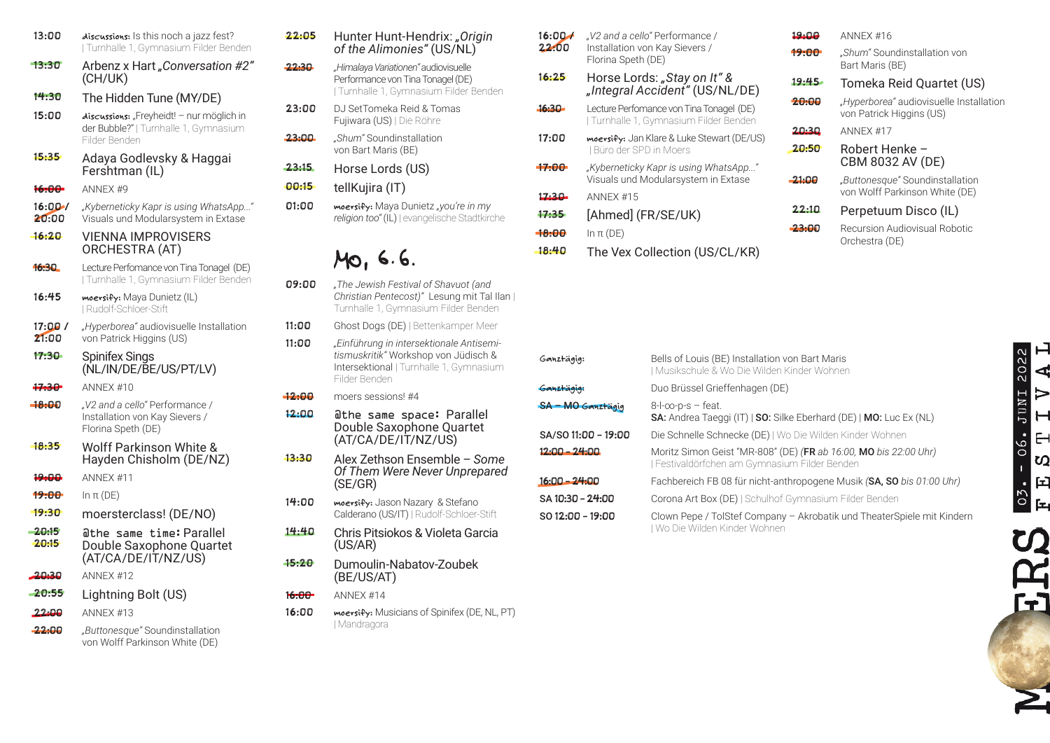| 13:00             | discussions: Is this noch a jazz fest?<br>  Turnhalle 1, Gymnasium Filder Benden                    |
|-------------------|-----------------------------------------------------------------------------------------------------|
| 13:30             | Arbenz x Hart "Conversation #2"<br>(CH/UK)                                                          |
| 14:30             | The Hidden Tune (MY/DE)                                                                             |
| 15:00             | discussions: "Freyheidt! - nur möglich in<br>der Bubble?"   Turnhalle 1, Gymnasium<br>Filder Benden |
| 15:35             | Adaya Godlevsky & Haggai<br>Fershtman (IL)                                                          |
| 16.00-            | ANNEX <sub>#9</sub>                                                                                 |
| 16:00/<br>20:00   | "Kyberneticky Kapr is using WhatsApp"<br>Visuals und Modularsystem in Extase                        |
| 16:20             | VIENNA IMPROVISERS<br>ORCHESTRA (AT)                                                                |
| 16:30             | Lecture Perfomance von Tina Tonagel (DE)<br>  Turnhalle 1, Gymnasium Filder Benden                  |
| 16:45             | moersify: Maya Dunietz (IL)<br>I Rudolf-Schloer-Stift                                               |
| 17:00/<br>21:00   | "Hyperborea" audiovisuelle Installation<br>von Patrick Higgins (US)                                 |
| 17:30             | <b>Spinifex Sings</b><br>(NL/IN/DE/BE/US/PT/LV)                                                     |
| 17.30-            | ANNFX #10                                                                                           |
| $-18:00$          | "V2 and a cello" Performance /<br>Installation von Kay Sievers /<br>Florina Speth (DE)              |
| 18:35             | Wolff Parkinson White &<br>Hayden Chisholm (DE/NZ)                                                  |
| 19:00             | ANNEX <sub>#11</sub>                                                                                |
| 19:00             | In π (DE)                                                                                           |
| 19:30             | moersterclass! (DE/NO)                                                                              |
| $-20:15$<br>20:15 | @the same time:Parallel<br>Double Saxophone Quartet<br>(AT/CA/DE/IT/NZ/US)                          |
| 20.30             | ANNEX #12                                                                                           |
| $-20:55$          | Lightning Bolt (US)                                                                                 |
| 22:00             | ANNFX #13                                                                                           |
| 22:00             | "Buttonesque" Soundinstallation<br>von Wolff Parkinson White (DE)                                   |

### 22:05 Hunter Hunt-Hendrix: *"Origin of the Alimonies"* (US/NL)

- 22:30 *"Himalaya Variationen"* audiovisuelle Performance von Tina Tonagel (DE) | Turnhalle 1, Gymnasium Filder Benden
- 23:00 DJ SetTomeka Reid & Tomas Fujiwara (US) | Die Röhre
- 23:00 *"Shum"* Soundinstallation von Bart Maris (BE)
- 23:15 Horse Lords (US)
- 00:15 tellKujira (IT)
- 01:00 **moersify:** Maya Dunietz *"you're in my religion too"* (IL) | evangelische Stadtkirche

### MO, 6.6.

- 09:00 *"The Jewish Festival of Shavuot (and Christian Pentecost)"* Lesung mit Tal Ilan | Turnhalle 1, Gymnasium Filder Benden
- 11:00 Ghost Dogs (DE) | Bettenkamper Meer
- 11:00 *"Einführung in intersektionale Antisemitismuskritik"* Workshop von Jüdisch & Intersektional | Turnhalle 1, Gymnasium Filder Benden
- 12:00 moers sessions! #4
- 12:00 @the same space: Parallel Double Saxophone Quartet (AT/CA/DE/IT/NZ/US)
- 13:30 Alex Zethson Ensemble *Some Of Them Were Never Unprepared* (SE/GR)
- 14:00 **moersify:** Jason Nazary & Stefano Calderano (US/IT) | Rudolf-Schloer-Stift
- 14:40 Chris Pitsiokos & Violeta Garcia (US/AR)
- 15:20 Dumoulin-Nabatov-Zoubek (BE/US/AT)
- 16:00 ANNEX #14
- 16:00 **moersify:** Musicians of Spinifex (DE, NL, PT) | Mandragora
- 16:00 / 22:00 *"V2 and a cello"* Performance / Installation von Kay Sievers / Florina Speth (DE)
- 16:25 Horse Lords: *"Stay on It" & "Integral Accident"* (US/NL/DE)
- 16:30 Lecture Perfomance von Tina Tonagel (DE) | Turnhalle 1, Gymnasium Filder Benden
- 17:00 **moersify:** Jan Klare & Luke Stewart (DE/US) | Büro der SPD in Moers
- 17:00 *"Kyberneticky Kapr is using WhatsApp..."*  Visuals und Modularsystem in Extase 17:30 ANNEX #15
- 17:35 [Ahmed] (FR/SE/UK)
- $18:00$  In π (DE)
- 18:40 The Vex Collection (US/CL/KR)

| 19:00 | ANNEX #16                                                           |
|-------|---------------------------------------------------------------------|
| 19:00 | "Shum" Soundinstallation von<br>Bart Maris (BE)                     |
| 19:45 | Tomeka Reid Quartet (US)                                            |
| 20:00 | "Hyperborea" audiovisuelle Installation<br>von Patrick Higgins (US) |
| 20:30 | ANNEX <sub>#17</sub>                                                |
| 20:50 | Robert Henke -<br>CBM 8032 AV (DE)                                  |
| 21:00 | "Buttonesque" Soundinstallation<br>von Wolff Parkinson White (DE)   |
| 22:10 | Perpetuum Disco (IL)                                                |
| 23:00 | Recursion Audiovisual Robotic<br>Orchestra (DE)                     |

| Ganztägig:               | Bells of Louis (BE) Installation von Bart Maris<br>J Musikschule & Wo Die Wilden Kinder Wohnen                    |
|--------------------------|-------------------------------------------------------------------------------------------------------------------|
| Ganztagig:               | Duo Brüssel Grieffenhagen (DE)                                                                                    |
| <b>SA - MO Ganztägig</b> | $8$ -l- $\infty$ -p-s – feat.<br>SA: Andrea Taeggi (IT)   SO: Silke Eberhard (DE)   MO: Luc Ex (NL)               |
| SA/SO 11:00 - 19:00      | Die Schnelle Schnecke (DE)   Wo Die Wilden Kinder Wohnen                                                          |
| $12:00 - 24:00$          | Moritz Simon Geist "MR-808" (DE) (FR ab 16:00, MO bis 22:00 Uhr)<br>J Festivaldörfchen am Gymnasium Filder Benden |
| $16:00 - 24:00$          | Fachbereich FB 08 für nicht-anthropogene Musik (SA, SO bis 01:00 Uhr)                                             |
| SA 10:30 - 24:00         | Corona Art Box (DE)   Schulhof Gymnasium Filder Benden                                                            |
| $SO 12:00 - 19:00$       | Clown Pepe / TolStef Company - Akrobatik und TheaterSpiele mit Kindern<br>l Wo Die Wilden Kinder Wohnen           |